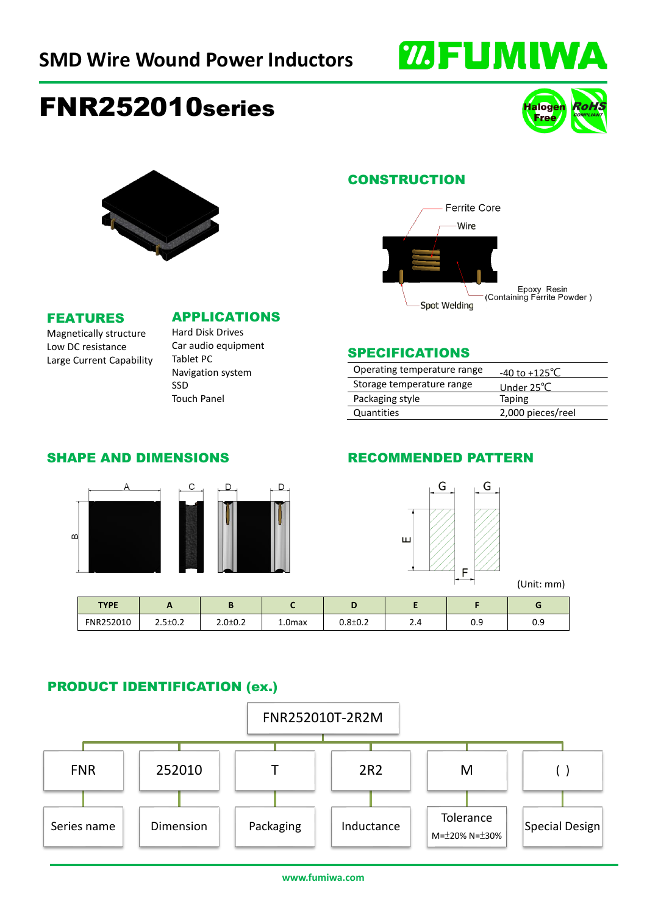

# FNR252010series





Spot Welding

Epoxy Resin<br>(Containing Ferrite Powder)

#### FEATURES

APPLICATIONS

Magnetically structure Low DC resistance Large Current Capability

# Hard Disk Drives

Car audio equipment Tablet PC Navigation system SSD Touch Panel

#### SPECIFICATIONS

| Operating temperature range | -40 to +125 °C       |
|-----------------------------|----------------------|
| Storage temperature range   | Under $25^{\circ}$ C |
| Packaging style             | Taping               |
| Quantities                  | 2,000 pieces/reel    |

#### SHAPE AND DIMENSIONS



## RECOMMENDED PATTERN



### PRODUCT IDENTIFICATION (ex.)

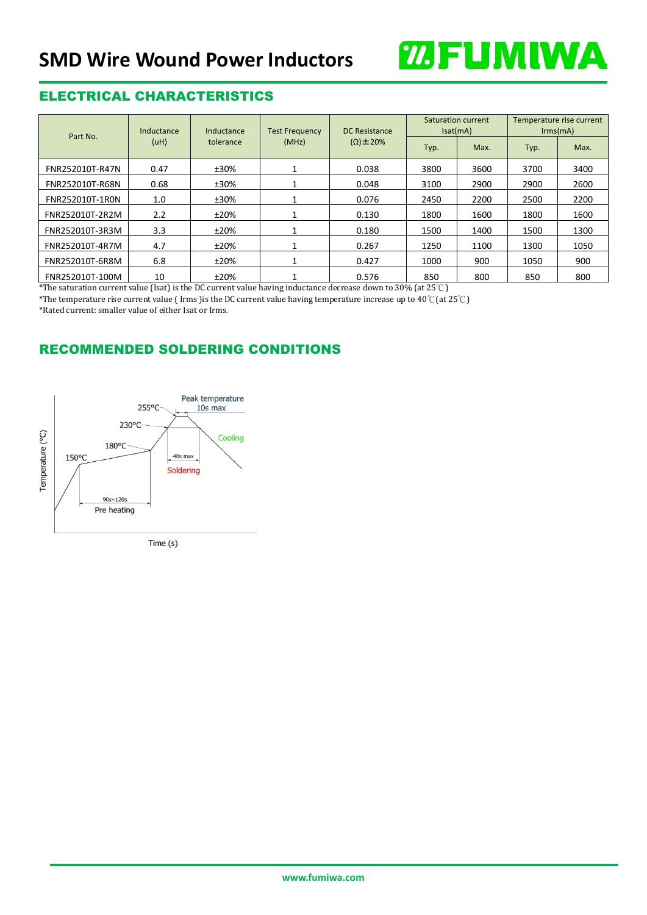

## ELECTRICAL CHARACTERISTICS

| Part No.        | Inductance<br>Inductance<br>(uH)<br>tolerance | <b>Test Frequency</b> | DC Resistance | Saturation current<br>Isat(mA) |      | Temperature rise current<br>$\text{lrms}(mA)$ |      |      |
|-----------------|-----------------------------------------------|-----------------------|---------------|--------------------------------|------|-----------------------------------------------|------|------|
|                 |                                               |                       | (MHz)         | $(\Omega) \pm 20\%$            | Typ. | Max.                                          | Typ. | Max. |
| FNR252010T-R47N | 0.47                                          | ±30%                  |               | 0.038                          | 3800 | 3600                                          | 3700 | 3400 |
| FNR252010T-R68N | 0.68                                          | ±30%                  |               | 0.048                          | 3100 | 2900                                          | 2900 | 2600 |
| FNR252010T-1R0N | 1.0                                           | ±30%                  |               | 0.076                          | 2450 | 2200                                          | 2500 | 2200 |
| FNR252010T-2R2M | 2.2                                           | ±20%                  |               | 0.130                          | 1800 | 1600                                          | 1800 | 1600 |
| FNR252010T-3R3M | 3.3                                           | ±20%                  |               | 0.180                          | 1500 | 1400                                          | 1500 | 1300 |
| FNR252010T-4R7M | 4.7                                           | ±20%                  |               | 0.267                          | 1250 | 1100                                          | 1300 | 1050 |
| FNR252010T-6R8M | 6.8                                           | ±20%                  |               | 0.427                          | 1000 | 900                                           | 1050 | 900  |
| FNR252010T-100M | 10                                            | ±20%                  |               | 0.576                          | 850  | 800                                           | 850  | 800  |

\*The saturation current value (Isat) is the DC current value having inductance decrease down to 30% (at 25℃)

\*The temperature rise current value ( Irms )is the DC current value having temperature increase up to 40℃(at 25℃)

\*Rated current: smaller value of either Isat or Irms.

### RECOMMENDED SOLDERING CONDITIONS



Time $(s)$